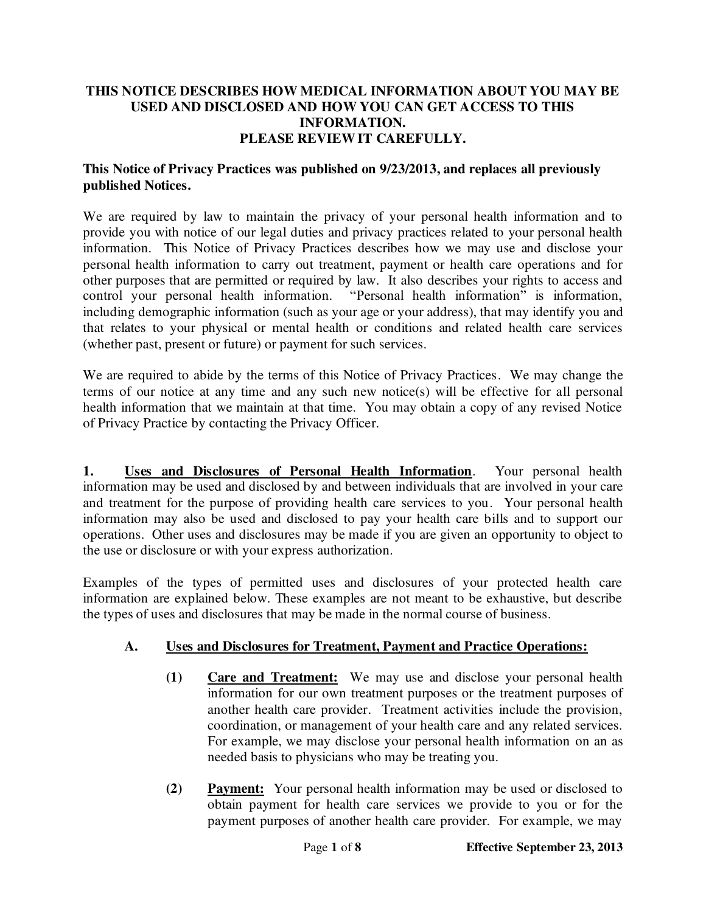#### **THIS NOTICE DESCRIBES HOW MEDICAL INFORMATION ABOUT YOU MAY BE USED AND DISCLOSED AND HOW YOU CAN GET ACCESS TO THIS INFORMATION. PLEASE REVIEW IT CAREFULLY.**

### **This Notice of Privacy Practices was published on 9/23/2013, and replaces all previously published Notices.**

We are required by law to maintain the privacy of your personal health information and to provide you with notice of our legal duties and privacy practices related to your personal health information. This Notice of Privacy Practices describes how we may use and disclose your personal health information to carry out treatment, payment or health care operations and for other purposes that are permitted or required by law. It also describes your rights to access and control your personal health information. "Personal health information" is information, including demographic information (such as your age or your address), that may identify you and that relates to your physical or mental health or conditions and related health care services (whether past, present or future) or payment for such services.

We are required to abide by the terms of this Notice of Privacy Practices. We may change the terms of our notice at any time and any such new notice(s) will be effective for all personal health information that we maintain at that time. You may obtain a copy of any revised Notice of Privacy Practice by contacting the Privacy Officer.

**1. Uses and Disclosures of Personal Health Information**. Your personal health information may be used and disclosed by and between individuals that are involved in your care and treatment for the purpose of providing health care services to you. Your personal health information may also be used and disclosed to pay your health care bills and to support our operations. Other uses and disclosures may be made if you are given an opportunity to object to the use or disclosure or with your express authorization.

Examples of the types of permitted uses and disclosures of your protected health care information are explained below. These examples are not meant to be exhaustive, but describe the types of uses and disclosures that may be made in the normal course of business.

# **A. Uses and Disclosures for Treatment, Payment and Practice Operations:**

- **(1) Care and Treatment:** We may use and disclose your personal health information for our own treatment purposes or the treatment purposes of another health care provider. Treatment activities include the provision, coordination, or management of your health care and any related services. For example, we may disclose your personal health information on an as needed basis to physicians who may be treating you.
- **(2) Payment:** Your personal health information may be used or disclosed to obtain payment for health care services we provide to you or for the payment purposes of another health care provider. For example, we may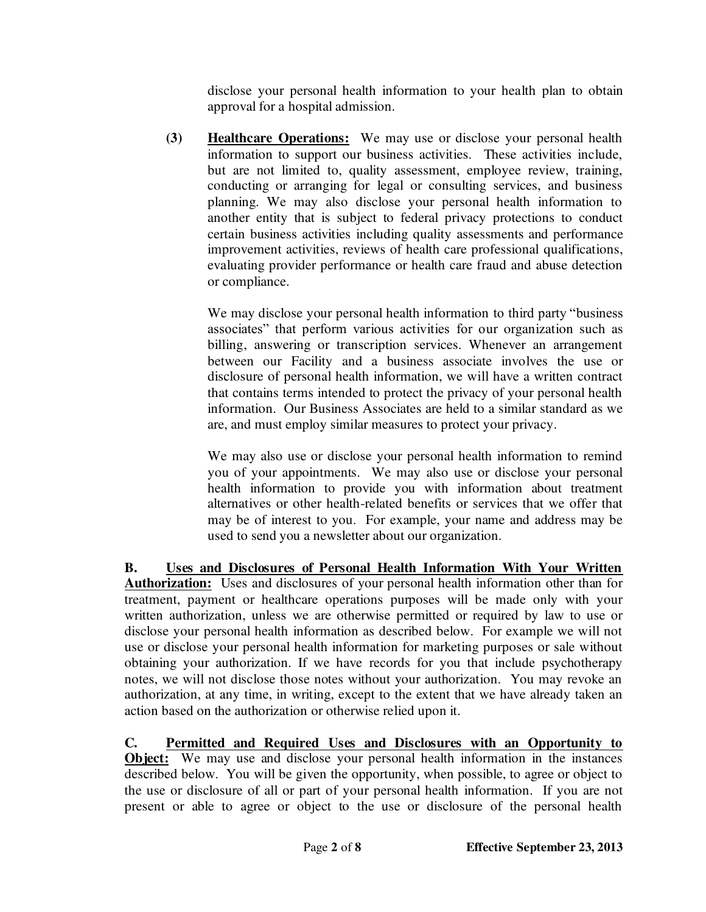disclose your personal health information to your health plan to obtain approval for a hospital admission.

**(3) Healthcare Operations:** We may use or disclose your personal health information to support our business activities. These activities include, but are not limited to, quality assessment, employee review, training, conducting or arranging for legal or consulting services, and business planning. We may also disclose your personal health information to another entity that is subject to federal privacy protections to conduct certain business activities including quality assessments and performance improvement activities, reviews of health care professional qualifications, evaluating provider performance or health care fraud and abuse detection or compliance.

We may disclose your personal health information to third party "business associates" that perform various activities for our organization such as billing, answering or transcription services. Whenever an arrangement between our Facility and a business associate involves the use or disclosure of personal health information, we will have a written contract that contains terms intended to protect the privacy of your personal health information. Our Business Associates are held to a similar standard as we are, and must employ similar measures to protect your privacy.

We may also use or disclose your personal health information to remind you of your appointments. We may also use or disclose your personal health information to provide you with information about treatment alternatives or other health-related benefits or services that we offer that may be of interest to you. For example, your name and address may be used to send you a newsletter about our organization.

**B. Uses and Disclosures of Personal Health Information With Your Written**  Authorization: Uses and disclosures of your personal health information other than for treatment, payment or healthcare operations purposes will be made only with your written authorization, unless we are otherwise permitted or required by law to use or disclose your personal health information as described below. For example we will not use or disclose your personal health information for marketing purposes or sale without obtaining your authorization. If we have records for you that include psychotherapy notes, we will not disclose those notes without your authorization. You may revoke an authorization, at any time, in writing, except to the extent that we have already taken an action based on the authorization or otherwise relied upon it.

**C. Permitted and Required Uses and Disclosures with an Opportunity to Object:** We may use and disclose your personal health information in the instances described below. You will be given the opportunity, when possible, to agree or object to the use or disclosure of all or part of your personal health information. If you are not present or able to agree or object to the use or disclosure of the personal health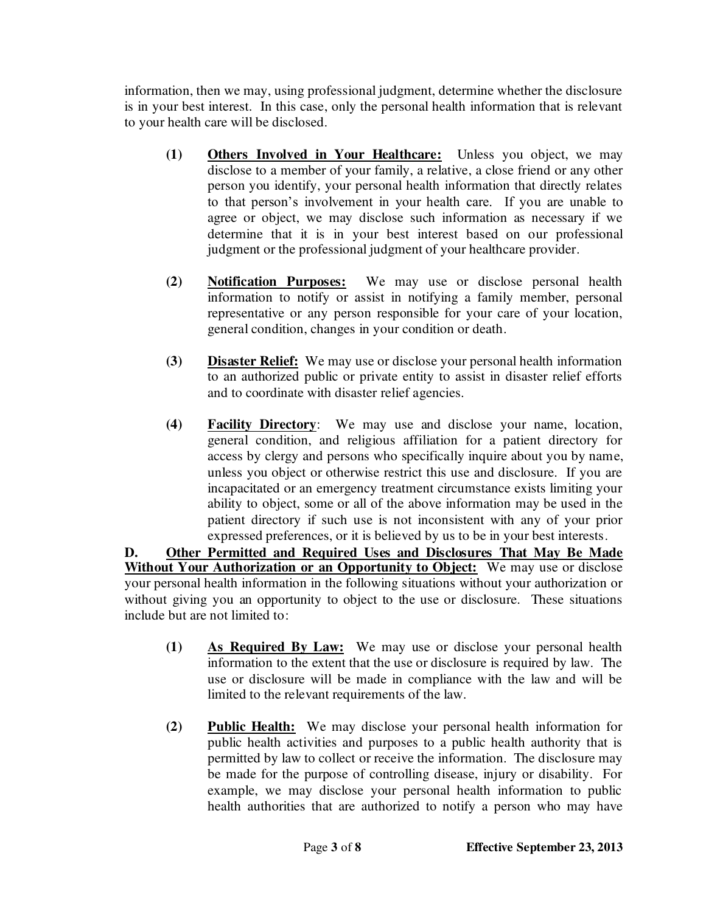information, then we may, using professional judgment, determine whether the disclosure is in your best interest. In this case, only the personal health information that is relevant to your health care will be disclosed.

- **(1) Others Involved in Your Healthcare:** Unless you object, we may disclose to a member of your family, a relative, a close friend or any other person you identify, your personal health information that directly relates to that person's involvement in your health care. If you are unable to agree or object, we may disclose such information as necessary if we determine that it is in your best interest based on our professional judgment or the professional judgment of your healthcare provider.
- **(2) Notification Purposes:** We may use or disclose personal health information to notify or assist in notifying a family member, personal representative or any person responsible for your care of your location, general condition, changes in your condition or death.
- **(3) Disaster Relief:** We may use or disclose your personal health information to an authorized public or private entity to assist in disaster relief efforts and to coordinate with disaster relief agencies.
- **(4) Facility Directory**: We may use and disclose your name, location, general condition, and religious affiliation for a patient directory for access by clergy and persons who specifically inquire about you by name, unless you object or otherwise restrict this use and disclosure. If you are incapacitated or an emergency treatment circumstance exists limiting your ability to object, some or all of the above information may be used in the patient directory if such use is not inconsistent with any of your prior expressed preferences, or it is believed by us to be in your best interests.

**D. Other Permitted and Required Uses and Disclosures That May Be Made Without Your Authorization or an Opportunity to Object:** We may use or disclose your personal health information in the following situations without your authorization or without giving you an opportunity to object to the use or disclosure. These situations include but are not limited to:

- **(1) As Required By Law:** We may use or disclose your personal health information to the extent that the use or disclosure is required by law. The use or disclosure will be made in compliance with the law and will be limited to the relevant requirements of the law.
- **(2) Public Health:** We may disclose your personal health information for public health activities and purposes to a public health authority that is permitted by law to collect or receive the information. The disclosure may be made for the purpose of controlling disease, injury or disability. For example, we may disclose your personal health information to public health authorities that are authorized to notify a person who may have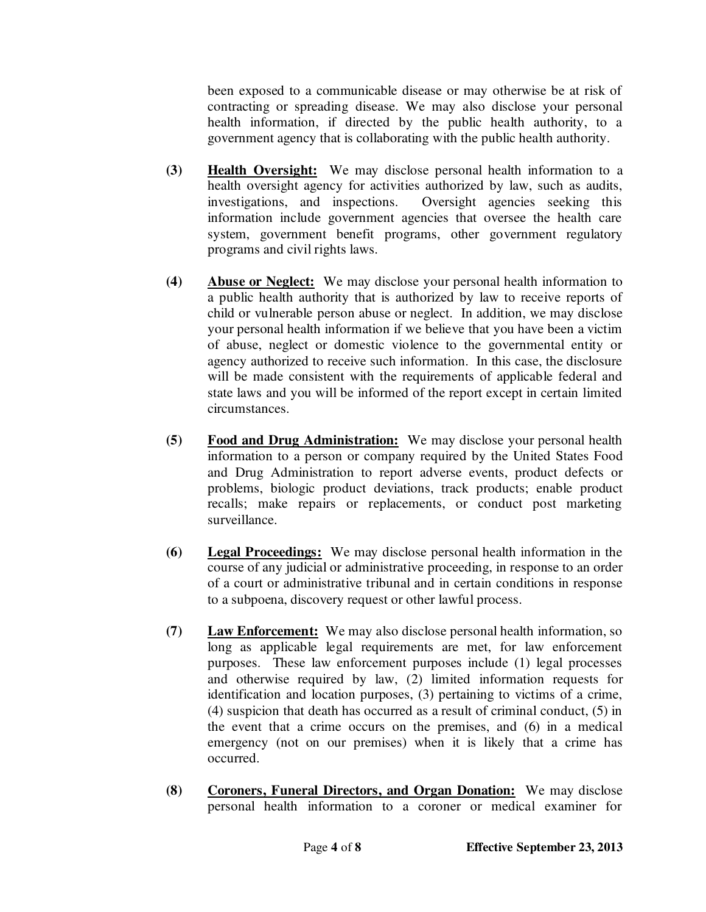been exposed to a communicable disease or may otherwise be at risk of contracting or spreading disease. We may also disclose your personal health information, if directed by the public health authority, to a government agency that is collaborating with the public health authority.

- **(3) Health Oversight:** We may disclose personal health information to a health oversight agency for activities authorized by law, such as audits, investigations, and inspections. Oversight agencies seeking this information include government agencies that oversee the health care system, government benefit programs, other government regulatory programs and civil rights laws.
- **(4) Abuse or Neglect:** We may disclose your personal health information to a public health authority that is authorized by law to receive reports of child or vulnerable person abuse or neglect. In addition, we may disclose your personal health information if we believe that you have been a victim of abuse, neglect or domestic violence to the governmental entity or agency authorized to receive such information. In this case, the disclosure will be made consistent with the requirements of applicable federal and state laws and you will be informed of the report except in certain limited circumstances.
- **(5) Food and Drug Administration:** We may disclose your personal health information to a person or company required by the United States Food and Drug Administration to report adverse events, product defects or problems, biologic product deviations, track products; enable product recalls; make repairs or replacements, or conduct post marketing surveillance.
- **(6) Legal Proceedings:** We may disclose personal health information in the course of any judicial or administrative proceeding, in response to an order of a court or administrative tribunal and in certain conditions in response to a subpoena, discovery request or other lawful process.
- **(7) Law Enforcement:** We may also disclose personal health information, so long as applicable legal requirements are met, for law enforcement purposes. These law enforcement purposes include (1) legal processes and otherwise required by law, (2) limited information requests for identification and location purposes, (3) pertaining to victims of a crime, (4) suspicion that death has occurred as a result of criminal conduct, (5) in the event that a crime occurs on the premises, and (6) in a medical emergency (not on our premises) when it is likely that a crime has occurred.
- **(8) Coroners, Funeral Directors, and Organ Donation:** We may disclose personal health information to a coroner or medical examiner for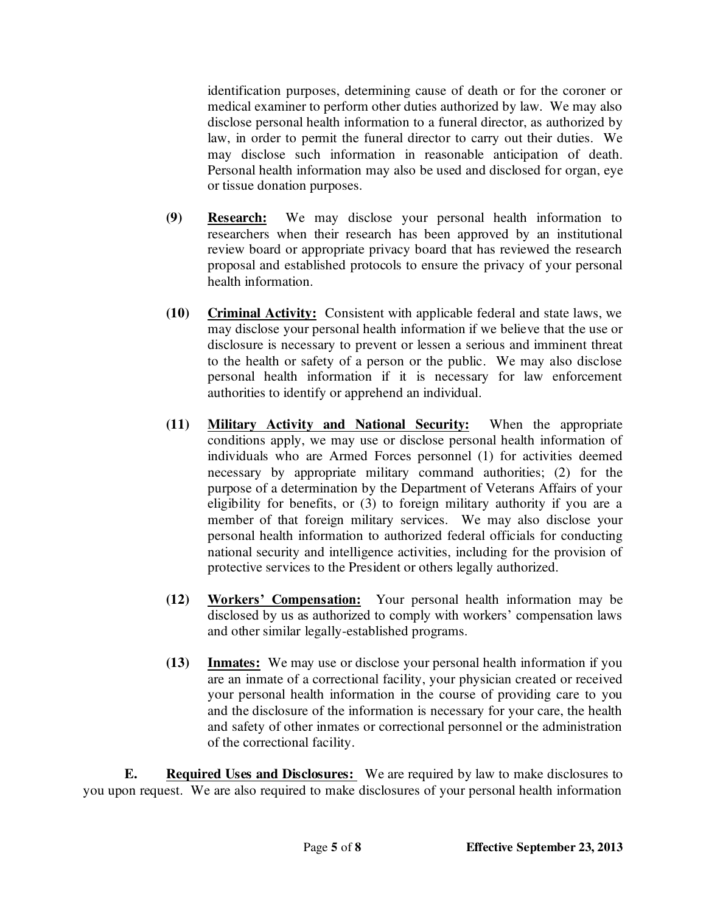identification purposes, determining cause of death or for the coroner or medical examiner to perform other duties authorized by law. We may also disclose personal health information to a funeral director, as authorized by law, in order to permit the funeral director to carry out their duties. We may disclose such information in reasonable anticipation of death. Personal health information may also be used and disclosed for organ, eye or tissue donation purposes.

- **(9) Research:** We may disclose your personal health information to researchers when their research has been approved by an institutional review board or appropriate privacy board that has reviewed the research proposal and established protocols to ensure the privacy of your personal health information.
- **(10) Criminal Activity:** Consistent with applicable federal and state laws, we may disclose your personal health information if we believe that the use or disclosure is necessary to prevent or lessen a serious and imminent threat to the health or safety of a person or the public. We may also disclose personal health information if it is necessary for law enforcement authorities to identify or apprehend an individual.
- **(11) Military Activity and National Security:** When the appropriate conditions apply, we may use or disclose personal health information of individuals who are Armed Forces personnel (1) for activities deemed necessary by appropriate military command authorities; (2) for the purpose of a determination by the Department of Veterans Affairs of your eligibility for benefits, or (3) to foreign military authority if you are a member of that foreign military services. We may also disclose your personal health information to authorized federal officials for conducting national security and intelligence activities, including for the provision of protective services to the President or others legally authorized.
- **(12) Workers' Compensation:** Your personal health information may be disclosed by us as authorized to comply with workers' compensation laws and other similar legally-established programs.
- **(13) Inmates:** We may use or disclose your personal health information if you are an inmate of a correctional facility, your physician created or received your personal health information in the course of providing care to you and the disclosure of the information is necessary for your care, the health and safety of other inmates or correctional personnel or the administration of the correctional facility.

**E. Required Uses and Disclosures:** We are required by law to make disclosures to you upon request. We are also required to make disclosures of your personal health information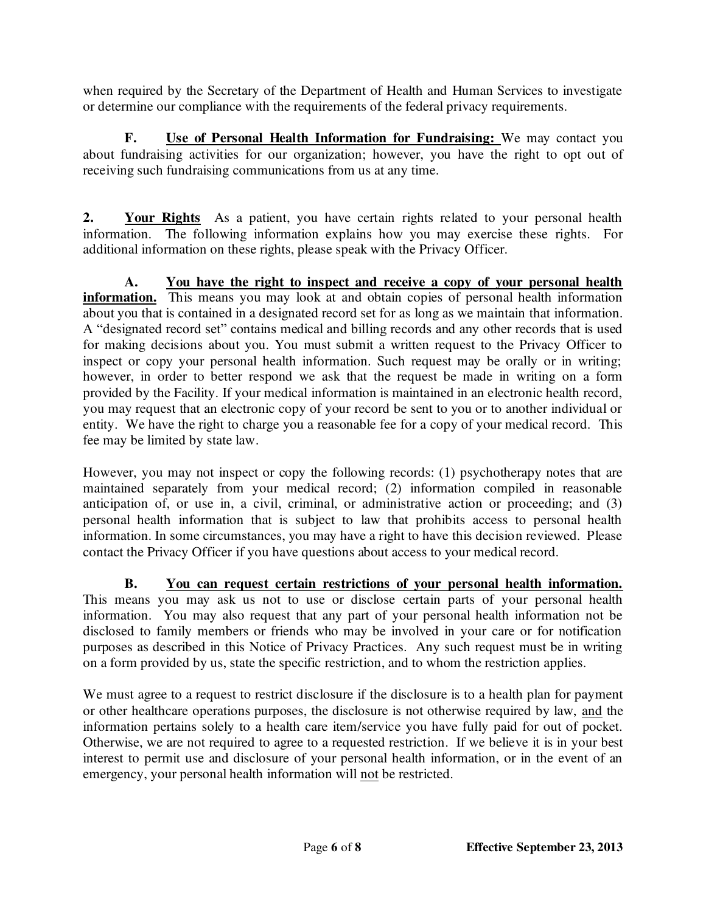when required by the Secretary of the Department of Health and Human Services to investigate or determine our compliance with the requirements of the federal privacy requirements.

**F. Use of Personal Health Information for Fundraising:** We may contact you about fundraising activities for our organization; however, you have the right to opt out of receiving such fundraising communications from us at any time.

**2. Your Rights** As a patient, you have certain rights related to your personal health information. The following information explains how you may exercise these rights. For additional information on these rights, please speak with the Privacy Officer.

**A. You have the right to inspect and receive a copy of your personal health information.** This means you may look at and obtain copies of personal health information about you that is contained in a designated record set for as long as we maintain that information. A "designated record set" contains medical and billing records and any other records that is used for making decisions about you. You must submit a written request to the Privacy Officer to inspect or copy your personal health information. Such request may be orally or in writing; however, in order to better respond we ask that the request be made in writing on a form provided by the Facility. If your medical information is maintained in an electronic health record, you may request that an electronic copy of your record be sent to you or to another individual or entity. We have the right to charge you a reasonable fee for a copy of your medical record. This fee may be limited by state law.

However, you may not inspect or copy the following records: (1) psychotherapy notes that are maintained separately from your medical record; (2) information compiled in reasonable anticipation of, or use in, a civil, criminal, or administrative action or proceeding; and (3) personal health information that is subject to law that prohibits access to personal health information. In some circumstances, you may have a right to have this decision reviewed. Please contact the Privacy Officer if you have questions about access to your medical record.

**B. You can request certain restrictions of your personal health information.** This means you may ask us not to use or disclose certain parts of your personal health information. You may also request that any part of your personal health information not be disclosed to family members or friends who may be involved in your care or for notification purposes as described in this Notice of Privacy Practices. Any such request must be in writing on a form provided by us, state the specific restriction, and to whom the restriction applies.

We must agree to a request to restrict disclosure if the disclosure is to a health plan for payment or other healthcare operations purposes, the disclosure is not otherwise required by law, and the information pertains solely to a health care item/service you have fully paid for out of pocket. Otherwise, we are not required to agree to a requested restriction. If we believe it is in your best interest to permit use and disclosure of your personal health information, or in the event of an emergency, your personal health information will not be restricted.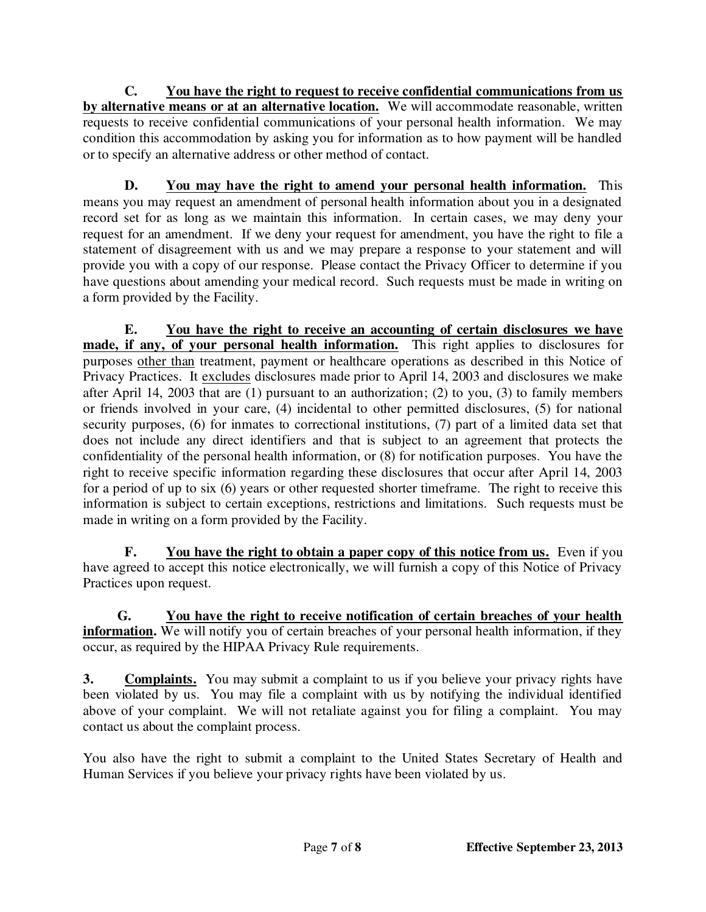**C. You have the right to request to receive confidential communications from us by alternative means or at an alternative location.** We will accommodate reasonable, written requests to receive confidential communications of your personal health information. We may condition this accommodation by asking you for information as to how payment will be handled or to specify an alternative address or other method of contact.

**D. You may have the right to amend your personal health information.** This means you may request an amendment of personal health information about you in a designated record set for as long as we maintain this information. In certain cases, we may deny your request for an amendment. If we deny your request for amendment, you have the right to file a statement of disagreement with us and we may prepare a response to your statement and will provide you with a copy of our response. Please contact the Privacy Officer to determine if you have questions about amending your medical record. Such requests must be made in writing on a form provided by the Facility.

**E. You have the right to receive an accounting of certain disclosures we have made, if any, of your personal health information.** This right applies to disclosures for purposes other than treatment, payment or healthcare operations as described in this Notice of Privacy Practices. It excludes disclosures made prior to April 14, 2003 and disclosures we make after April 14, 2003 that are (1) pursuant to an authorization; (2) to you, (3) to family members or friends involved in your care, (4) incidental to other permitted disclosures, (5) for national security purposes, (6) for inmates to correctional institutions, (7) part of a limited data set that does not include any direct identifiers and that is subject to an agreement that protects the confidentiality of the personal health information, or (8) for notification purposes. You have the right to receive specific information regarding these disclosures that occur after April 14, 2003 for a period of up to six (6) years or other requested shorter timeframe. The right to receive this information is subject to certain exceptions, restrictions and limitations. Such requests must be made in writing on a form provided by the Facility.

**F. You have the right to obtain a paper copy of this notice from us.** Even if you have agreed to accept this notice electronically, we will furnish a copy of this Notice of Privacy Practices upon request.

 **G. You have the right to receive notification of certain breaches of your health**  information. We will notify you of certain breaches of your personal health information, if they occur, as required by the HIPAA Privacy Rule requirements.

**3.** Complaints. You may submit a complaint to us if you believe your privacy rights have been violated by us. You may file a complaint with us by notifying the individual identified above of your complaint. We will not retaliate against you for filing a complaint. You may contact us about the complaint process.

You also have the right to submit a complaint to the United States Secretary of Health and Human Services if you believe your privacy rights have been violated by us.